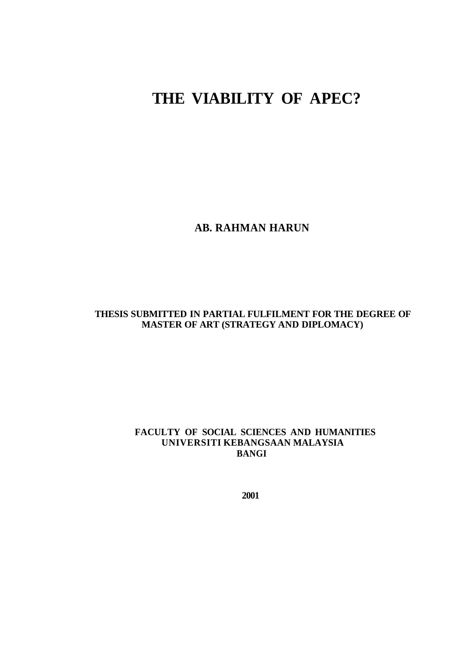# **THE VIABILITY OF APEC?**

**AB. RAHMAN HARUN**

## **THESIS SUBMITTED IN PARTIAL FULFILMENT FOR THE DEGREE OF MASTER OF ART (STRATEGY AND DIPLOMACY)**

## **FACULTY OF SOCIAL SCIENCES AND HUMANITIES UNIVERSITI KEBANGSAAN MALAYSIA BANGI**

**2001**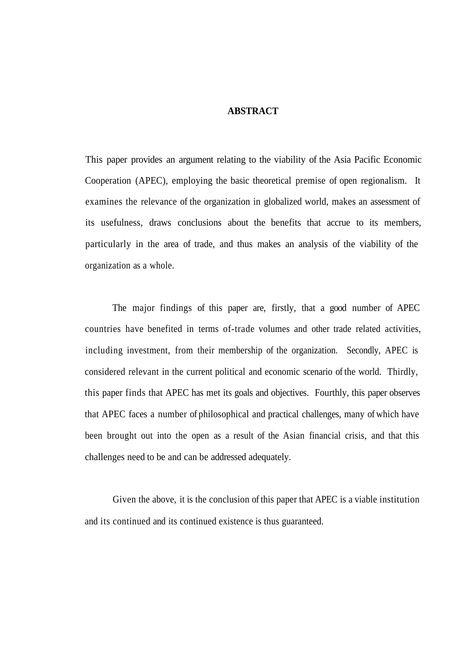## **ABSTRACT**

This paper provides an argument relating to the viability of the Asia Pacific Economic Cooperation (APEC), employing the basic theoretical premise of open regionalism. It examines the relevance of the organization in globalized world, makes an assessment of its usefulness, draws conclusions about the benefits that accrue to its members, particularly in the area of trade, and thus makes an analysis of the viability of the organization as a whole.

The major findings of this paper are, firstly, that a good number of APEC countries have benefited in terms of-trade volumes and other trade related activities, including investment, from their membership of the organization. Secondly, APEC is considered relevant in the current political and economic scenario of the world. Thirdly, this paper finds that APEC has met its goals and objectives. Fourthly, this paper observes that APEC faces a number of philosophical and practical challenges, many of which have been brought out into the open as a result of the Asian financial crisis, and that this challenges need to be and can be addressed adequately.

Given the above, it is the conclusion of this paper that APEC is a viable institution and its continued and its continued existence is thus guaranteed.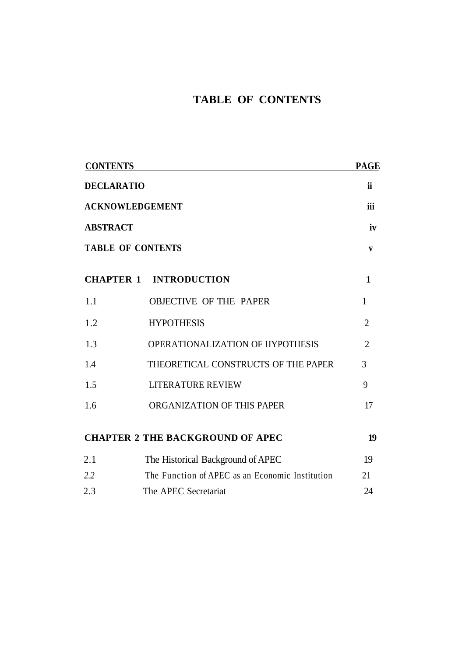# **TABLE OF CONTENTS**

| <b>CONTENTS</b>                           |                                                 | <b>PAGE</b>    |
|-------------------------------------------|-------------------------------------------------|----------------|
| <b>DECLARATIO</b>                         |                                                 | ii             |
| <b>ACKNOWLEDGEMENT</b><br><b>ABSTRACT</b> |                                                 | iii<br>iv      |
|                                           |                                                 |                |
|                                           | <b>CHAPTER 1 INTRODUCTION</b>                   | $\mathbf{1}$   |
| 1.1                                       | <b>OBJECTIVE OF THE PAPER</b>                   | $\mathbf{1}$   |
| 1.2                                       | <b>HYPOTHESIS</b>                               | $\overline{2}$ |
| 1.3                                       | OPERATIONALIZATION OF HYPOTHESIS                | $\overline{2}$ |
| 1.4                                       | THEORETICAL CONSTRUCTS OF THE PAPER             | 3              |
| 1.5                                       | <b>LITERATURE REVIEW</b>                        | 9              |
| 1.6                                       | ORGANIZATION OF THIS PAPER                      | 17             |
|                                           | <b>CHAPTER 2 THE BACKGROUND OF APEC</b>         | 19             |
| 2.1                                       | The Historical Background of APEC               | 19             |
| 2.2                                       | The Function of APEC as an Economic Institution | 21             |
| 2.3                                       | The APEC Secretariat                            | 24             |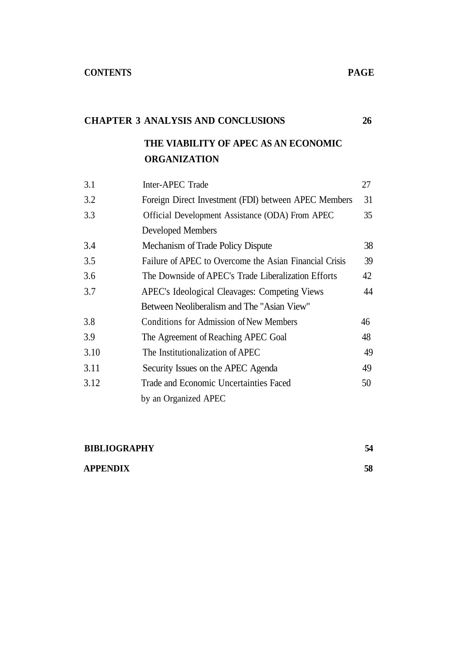# **CHAPTER 3 ANALYSIS AND CONCLUSIONS 26**

# **THE VIABILITY OF APEC AS AN ECONOMIC ORGANIZATION**

| 3.1  | Inter-APEC Trade                                       | 27 |
|------|--------------------------------------------------------|----|
| 3.2  | Foreign Direct Investment (FDI) between APEC Members   | 31 |
| 3.3  | Official Development Assistance (ODA) From APEC        | 35 |
|      | Developed Members                                      |    |
| 3.4  | Mechanism of Trade Policy Dispute                      | 38 |
| 3.5  | Failure of APEC to Overcome the Asian Financial Crisis | 39 |
| 3.6  | The Downside of APEC's Trade Liberalization Efforts    | 42 |
| 3.7  | APEC's Ideological Cleavages: Competing Views          | 44 |
|      | Between Neoliberalism and The "Asian View"             |    |
| 3.8  | Conditions for Admission of New Members                | 46 |
| 3.9  | The Agreement of Reaching APEC Goal                    | 48 |
| 3.10 | The Institutionalization of APEC                       | 49 |
| 3.11 | Security Issues on the APEC Agenda                     | 49 |
| 3.12 | Trade and Economic Uncertainties Faced                 | 50 |
|      | by an Organized APEC                                   |    |

| <b>BIBLIOGRAPHY</b> | 54 |
|---------------------|----|
| <b>APPENDIX</b>     | 58 |